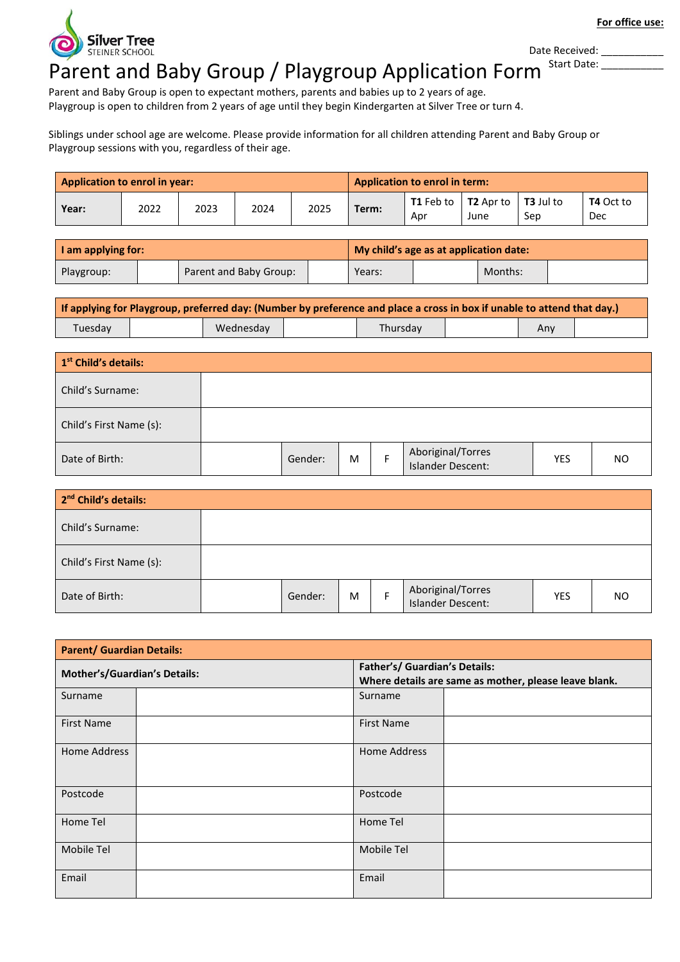

Date Received:

## Parent and Baby Group / Playgroup Application Form Start Date:

Parent and Baby Group is open to expectant mothers, parents and babies up to 2 years of age. Playgroup is open to children from 2 years of age until they begin Kindergarten at Silver Tree or turn 4.

Siblings under school age are welcome. Please provide information for all children attending Parent and Baby Group or Playgroup sessions with you, regardless of their age.

| Application to enrol in year: |      |      |      | Application to enrol in term: |       |                           |                                           |     |                         |
|-------------------------------|------|------|------|-------------------------------|-------|---------------------------|-------------------------------------------|-----|-------------------------|
| Year:                         | 2022 | 2023 | 2024 | 2025                          | Term: | <b>T1</b> Feb to I<br>Apr | <b>T2</b> Apr to <b>T3</b> Jul to<br>June | Sep | <b>T4</b> Oct to<br>Dec |

| I am applying for: |  |                        |  | My child's age as at application date: |  |         |  |
|--------------------|--|------------------------|--|----------------------------------------|--|---------|--|
| Playgroup:         |  | Parent and Baby Group: |  | Years:                                 |  | Months: |  |

| If applying for Playgroup, preferred day: (Number by preference and place a cross in box if unable to attend that day.) |  |           |  |          |  |     |  |
|-------------------------------------------------------------------------------------------------------------------------|--|-----------|--|----------|--|-----|--|
| Tuesday                                                                                                                 |  | Wednesday |  | Thursday |  | Anv |  |

| 1 <sup>st</sup> Child's details: |         |   |    |                                        |            |                |
|----------------------------------|---------|---|----|----------------------------------------|------------|----------------|
| Child's Surname:                 |         |   |    |                                        |            |                |
| Child's First Name (s):          |         |   |    |                                        |            |                |
| Date of Birth:                   | Gender: | M | F. | Aboriginal/Torres<br>Islander Descent: | <b>YES</b> | N <sub>O</sub> |

| 2 <sup>nd</sup> Child's details: |  |         |   |   |                                               |            |           |
|----------------------------------|--|---------|---|---|-----------------------------------------------|------------|-----------|
| Child's Surname:                 |  |         |   |   |                                               |            |           |
| Child's First Name (s):          |  |         |   |   |                                               |            |           |
| Date of Birth:                   |  | Gender: | M | F | Aboriginal/Torres<br><b>Islander Descent:</b> | <b>YES</b> | <b>NO</b> |

| <b>Parent/ Guardian Details:</b>    |  |                                                                                        |  |  |  |
|-------------------------------------|--|----------------------------------------------------------------------------------------|--|--|--|
| <b>Mother's/Guardian's Details:</b> |  | Father's/ Guardian's Details:<br>Where details are same as mother, please leave blank. |  |  |  |
| Surname                             |  | Surname                                                                                |  |  |  |
| <b>First Name</b>                   |  | <b>First Name</b>                                                                      |  |  |  |
| Home Address                        |  | <b>Home Address</b>                                                                    |  |  |  |
| Postcode                            |  | Postcode                                                                               |  |  |  |
| Home Tel                            |  | Home Tel                                                                               |  |  |  |
| Mobile Tel                          |  | Mobile Tel                                                                             |  |  |  |
| Email                               |  | Email                                                                                  |  |  |  |